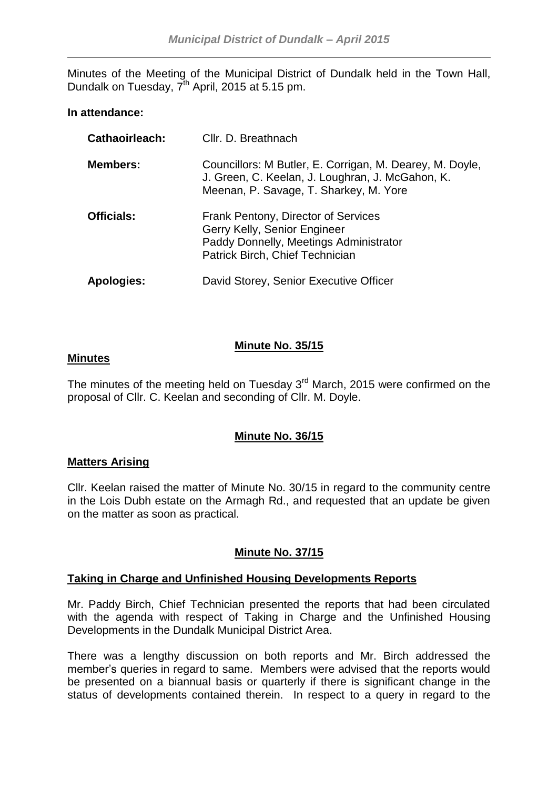Minutes of the Meeting of the Municipal District of Dundalk held in the Town Hall, Dundalk on Tuesday, 7<sup>th</sup> April, 2015 at 5.15 pm.

### **In attendance:**

| Cathaoirleach:    | Cllr. D. Breathnach                                                                                                                                    |
|-------------------|--------------------------------------------------------------------------------------------------------------------------------------------------------|
| <b>Members:</b>   | Councillors: M Butler, E. Corrigan, M. Dearey, M. Doyle,<br>J. Green, C. Keelan, J. Loughran, J. McGahon, K.<br>Meenan, P. Savage, T. Sharkey, M. Yore |
| <b>Officials:</b> | Frank Pentony, Director of Services<br>Gerry Kelly, Senior Engineer<br>Paddy Donnelly, Meetings Administrator<br>Patrick Birch, Chief Technician       |
| Apologies:        | David Storey, Senior Executive Officer                                                                                                                 |

## **Minute No. 35/15**

### **Minutes**

The minutes of the meeting held on Tuesday  $3<sup>rd</sup>$  March, 2015 were confirmed on the proposal of Cllr. C. Keelan and seconding of Cllr. M. Doyle.

## **Minute No. 36/15**

### **Matters Arising**

Cllr. Keelan raised the matter of Minute No. 30/15 in regard to the community centre in the Lois Dubh estate on the Armagh Rd., and requested that an update be given on the matter as soon as practical.

## **Minute No. 37/15**

## **Taking in Charge and Unfinished Housing Developments Reports**

Mr. Paddy Birch, Chief Technician presented the reports that had been circulated with the agenda with respect of Taking in Charge and the Unfinished Housing Developments in the Dundalk Municipal District Area.

There was a lengthy discussion on both reports and Mr. Birch addressed the member's queries in regard to same. Members were advised that the reports would be presented on a biannual basis or quarterly if there is significant change in the status of developments contained therein. In respect to a query in regard to the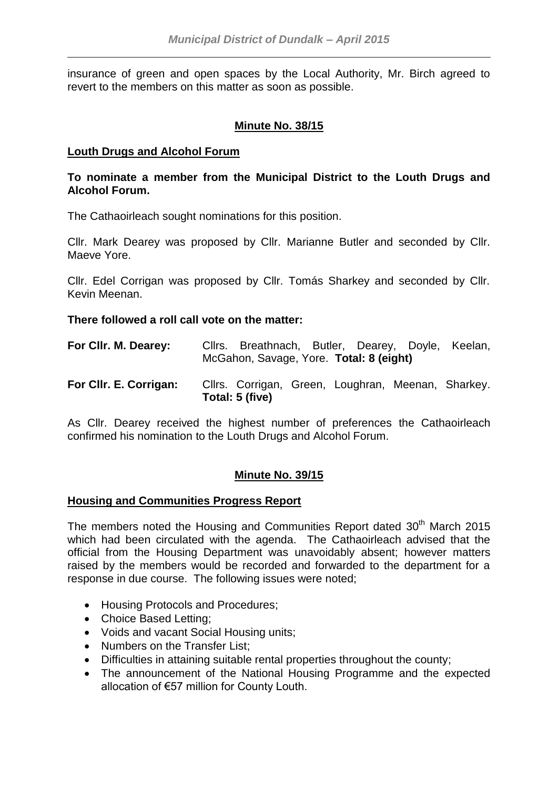insurance of green and open spaces by the Local Authority, Mr. Birch agreed to revert to the members on this matter as soon as possible.

# **Minute No. 38/15**

# **Louth Drugs and Alcohol Forum**

## **To nominate a member from the Municipal District to the Louth Drugs and Alcohol Forum.**

The Cathaoirleach sought nominations for this position.

Cllr. Mark Dearey was proposed by Cllr. Marianne Butler and seconded by Cllr. Maeve Yore.

Cllr. Edel Corrigan was proposed by Cllr. Tomás Sharkey and seconded by Cllr. Kevin Meenan.

### **There followed a roll call vote on the matter:**

| For Cllr. M. Dearey:   |                 | Cllrs. Breathnach, Butler, Dearey, Doyle, Keelan,<br>McGahon, Savage, Yore. Total: 8 (eight) |  |
|------------------------|-----------------|----------------------------------------------------------------------------------------------|--|
| For CIIr. E. Corrigan: | Total: 5 (five) | Cllrs. Corrigan, Green, Loughran, Meenan, Sharkey.                                           |  |

As Cllr. Dearey received the highest number of preferences the Cathaoirleach confirmed his nomination to the Louth Drugs and Alcohol Forum.

## **Minute No. 39/15**

## **Housing and Communities Progress Report**

The members noted the Housing and Communities Report dated 30<sup>th</sup> March 2015 which had been circulated with the agenda. The Cathaoirleach advised that the official from the Housing Department was unavoidably absent; however matters raised by the members would be recorded and forwarded to the department for a response in due course. The following issues were noted;

- Housing Protocols and Procedures;
- Choice Based Letting;
- Voids and vacant Social Housing units;
- Numbers on the Transfer List;
- Difficulties in attaining suitable rental properties throughout the county;
- The announcement of the National Housing Programme and the expected allocation of €57 million for County Louth.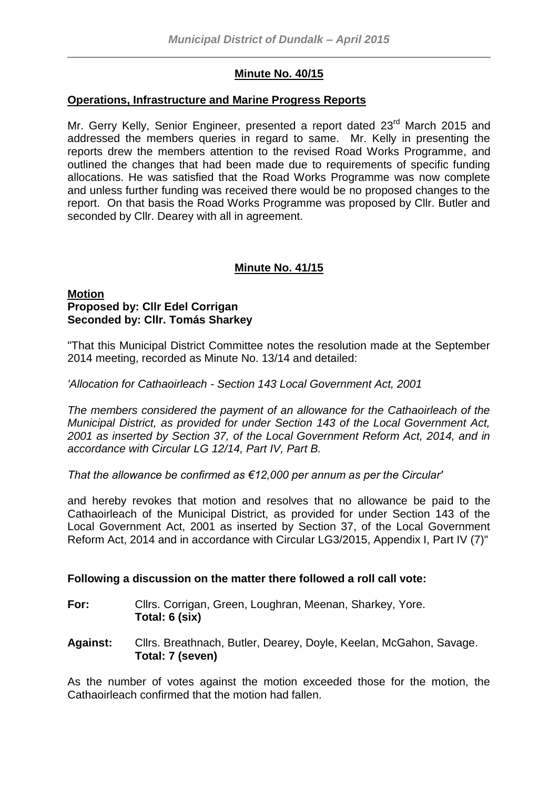# **Minute No. 40/15**

### **Operations, Infrastructure and Marine Progress Reports**

Mr. Gerry Kelly, Senior Engineer, presented a report dated 23<sup>rd</sup> March 2015 and addressed the members queries in regard to same. Mr. Kelly in presenting the reports drew the members attention to the revised Road Works Programme, and outlined the changes that had been made due to requirements of specific funding allocations. He was satisfied that the Road Works Programme was now complete and unless further funding was received there would be no proposed changes to the report. On that basis the Road Works Programme was proposed by Cllr. Butler and seconded by Cllr. Dearey with all in agreement.

# **Minute No. 41/15**

### **Motion Proposed by: Cllr Edel Corrigan Seconded by: Cllr. Tomás Sharkey**

"That this Municipal District Committee notes the resolution made at the September 2014 meeting, recorded as Minute No. 13/14 and detailed:

*'Allocation for Cathaoirleach - Section 143 Local Government Act, 2001*

*The members considered the payment of an allowance for the Cathaoirleach of the Municipal District, as provided for under Section 143 of the Local Government Act, 2001 as inserted by Section 37, of the Local Government Reform Act, 2014, and in accordance with Circular LG 12/14, Part IV, Part B.*

*That the allowance be confirmed as €12,000 per annum as per the Circular'*

and hereby revokes that motion and resolves that no allowance be paid to the Cathaoirleach of the Municipal District, as provided for under Section 143 of the Local Government Act, 2001 as inserted by Section 37, of the Local Government Reform Act, 2014 and in accordance with Circular LG3/2015, Appendix I, Part IV (7)"

## **Following a discussion on the matter there followed a roll call vote:**

- **For:** Cllrs. Corrigan, Green, Loughran, Meenan, Sharkey, Yore. **Total: 6 (six)**
- **Against:** Cllrs. Breathnach, Butler, Dearey, Doyle, Keelan, McGahon, Savage. **Total: 7 (seven)**

As the number of votes against the motion exceeded those for the motion, the Cathaoirleach confirmed that the motion had fallen.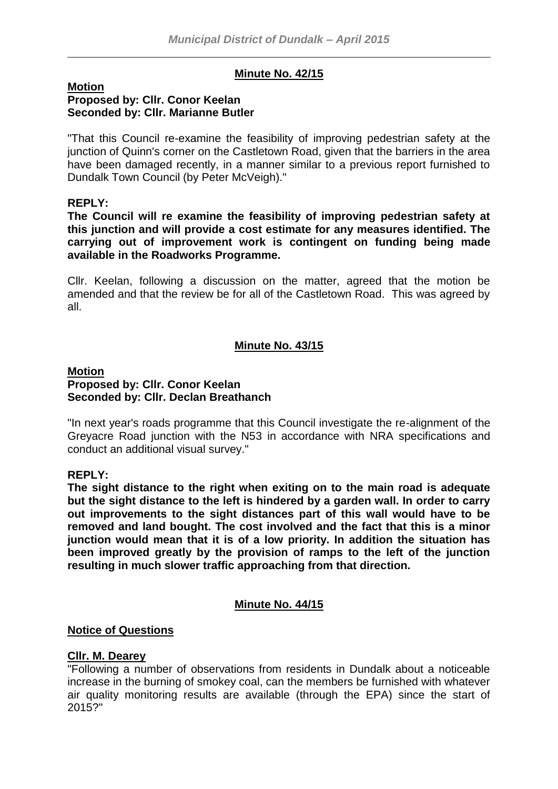# **Minute No. 42/15**

#### **Motion Proposed by: Cllr. Conor Keelan Seconded by: Cllr. Marianne Butler**

"That this Council re-examine the feasibility of improving pedestrian safety at the junction of Quinn's corner on the Castletown Road, given that the barriers in the area have been damaged recently, in a manner similar to a previous report furnished to Dundalk Town Council (by Peter McVeigh)."

### **REPLY:**

**The Council will re examine the feasibility of improving pedestrian safety at this junction and will provide a cost estimate for any measures identified. The carrying out of improvement work is contingent on funding being made available in the Roadworks Programme.**

Cllr. Keelan, following a discussion on the matter, agreed that the motion be amended and that the review be for all of the Castletown Road. This was agreed by all.

# **Minute No. 43/15**

### **Motion Proposed by: Cllr. Conor Keelan Seconded by: Cllr. Declan Breathanch**

"In next year's roads programme that this Council investigate the re-alignment of the Greyacre Road junction with the N53 in accordance with NRA specifications and conduct an additional visual survey."

## **REPLY:**

**The sight distance to the right when exiting on to the main road is adequate but the sight distance to the left is hindered by a garden wall. In order to carry out improvements to the sight distances part of this wall would have to be removed and land bought. The cost involved and the fact that this is a minor junction would mean that it is of a low priority. In addition the situation has been improved greatly by the provision of ramps to the left of the junction resulting in much slower traffic approaching from that direction.**

### **Minute No. 44/15**

## **Notice of Questions**

### **Cllr. M. Dearey**

"Following a number of observations from residents in Dundalk about a noticeable increase in the burning of smokey coal, can the members be furnished with whatever air quality monitoring results are available (through the EPA) since the start of 2015?"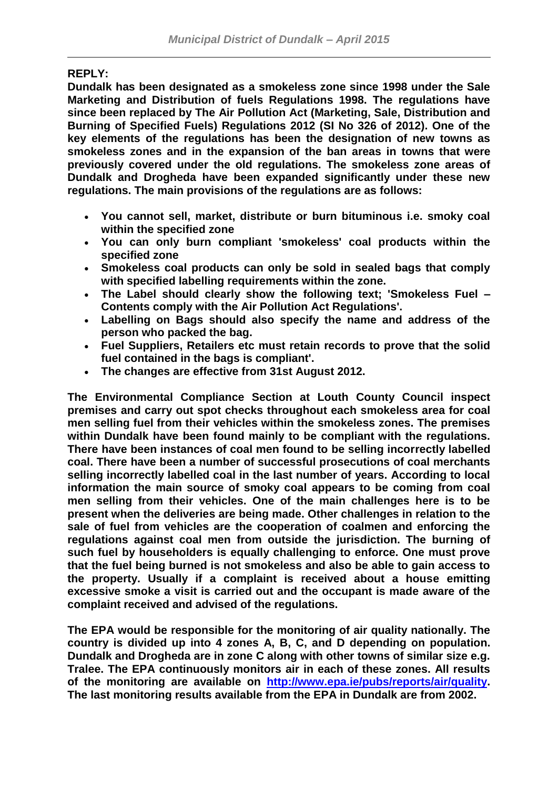## **REPLY:**

**Dundalk has been designated as a smokeless zone since 1998 under the Sale Marketing and Distribution of fuels Regulations 1998. The regulations have since been replaced by The Air Pollution Act (Marketing, Sale, Distribution and Burning of Specified Fuels) Regulations 2012 (SI No 326 of 2012). One of the key elements of the regulations has been the designation of new towns as smokeless zones and in the expansion of the ban areas in towns that were previously covered under the old regulations. The smokeless zone areas of Dundalk and Drogheda have been expanded significantly under these new regulations. The main provisions of the regulations are as follows:**

- **You cannot sell, market, distribute or burn bituminous i.e. smoky coal within the specified zone**
- **You can only burn compliant 'smokeless' coal products within the specified zone**
- **Smokeless coal products can only be sold in sealed bags that comply with specified labelling requirements within the zone.**
- **The Label should clearly show the following text; 'Smokeless Fuel – Contents comply with the Air Pollution Act Regulations'.**
- **Labelling on Bags should also specify the name and address of the person who packed the bag.**
- **Fuel Suppliers, Retailers etc must retain records to prove that the solid fuel contained in the bags is compliant'.**
- **The changes are effective from 31st August 2012.**

**The Environmental Compliance Section at Louth County Council inspect premises and carry out spot checks throughout each smokeless area for coal men selling fuel from their vehicles within the smokeless zones. The premises within Dundalk have been found mainly to be compliant with the regulations. There have been instances of coal men found to be selling incorrectly labelled coal. There have been a number of successful prosecutions of coal merchants selling incorrectly labelled coal in the last number of years. According to local information the main source of smoky coal appears to be coming from coal men selling from their vehicles. One of the main challenges here is to be present when the deliveries are being made. Other challenges in relation to the sale of fuel from vehicles are the cooperation of coalmen and enforcing the regulations against coal men from outside the jurisdiction. The burning of such fuel by householders is equally challenging to enforce. One must prove that the fuel being burned is not smokeless and also be able to gain access to the property. Usually if a complaint is received about a house emitting excessive smoke a visit is carried out and the occupant is made aware of the complaint received and advised of the regulations.**

**The EPA would be responsible for the monitoring of air quality nationally. The country is divided up into 4 zones A, B, C, and D depending on population. Dundalk and Drogheda are in zone C along with other towns of similar size e.g. Tralee. The EPA continuously monitors air in each of these zones. All results of the monitoring are available on [http://www.epa.ie/pubs/reports/air/quality.](http://www.epa.ie/pubs/reports/air/quality) The last monitoring results available from the EPA in Dundalk are from 2002.**